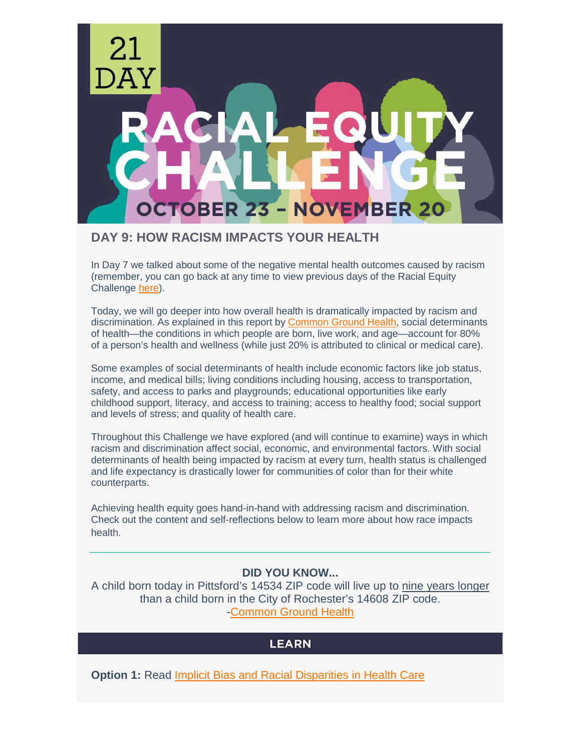

## **DAY 9: HOW RACISM IMPACTS YOUR HEALTH**

In Day 7 we talked about some of the negative mental health outcomes caused by racism (remember, you can go back at any time to view previous days of the Racial Equity Challenge [here\)](https://www.uwrochester.org/equitychallenge).

Today, we will go deeper into how overall health is dramatically impacted by racism and discrimination. As explained in this report by [Common Ground Health,](https://media.cmsmax.com/ravk3pgz5ktlujs1r08ci/overloaded-the-heavy-toll-of-poverty-on-our-regions-health.pdf) social determinants of health—the conditions in which people are born, live work, and age—account for 80% of a person's health and wellness (while just 20% is attributed to clinical or medical care).

Some examples of social determinants of health include economic factors like job status, income, and medical bills; living conditions including housing, access to transportation, safety, and access to parks and playgrounds; educational opportunities like early childhood support, literacy, and access to training; access to healthy food; social support and levels of stress; and quality of health care.

Throughout this Challenge we have explored (and will continue to examine) ways in which racism and discrimination affect social, economic, and environmental factors. With social determinants of health being impacted by racism at every turn, health status is challenged and life expectancy is drastically lower for communities of color than for their white counterparts.

Achieving health equity goes hand-in-hand with addressing racism and discrimination. Check out the content and self-reflections below to learn more about how race impacts health.

### **DID YOU KNOW...**

A child born today in Pittsford's 14534 ZIP code will live up to nine years longer than a child born in the City of Rochester's 14608 ZIP code. [-Common Ground Health](https://www.commongroundhealth.org/news/articles/residents-in-some-monroe-county-neighborhoods-live-up-to-nine-years-longer)

# **LEARN**

**Option 1:** Read [Implicit Bias and Racial Disparities in Health Care](https://www.americanbar.org/groups/crsj/publications/human_rights_magazine_home/the-state-of-healthcare-in-the-united-states/racial-disparities-in-health-care/)